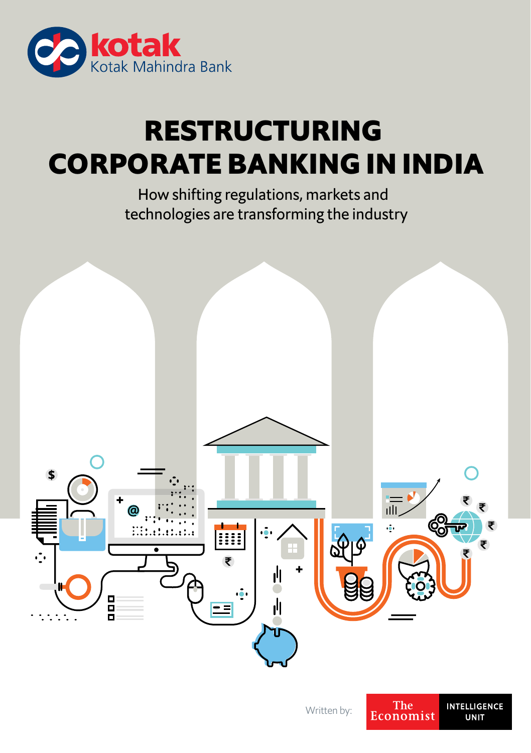

# **RESTRUCTURING CORPORATE BANKING IN INDIA**

How shifting regulations, markets and technologies are transforming the industry



**UNIT**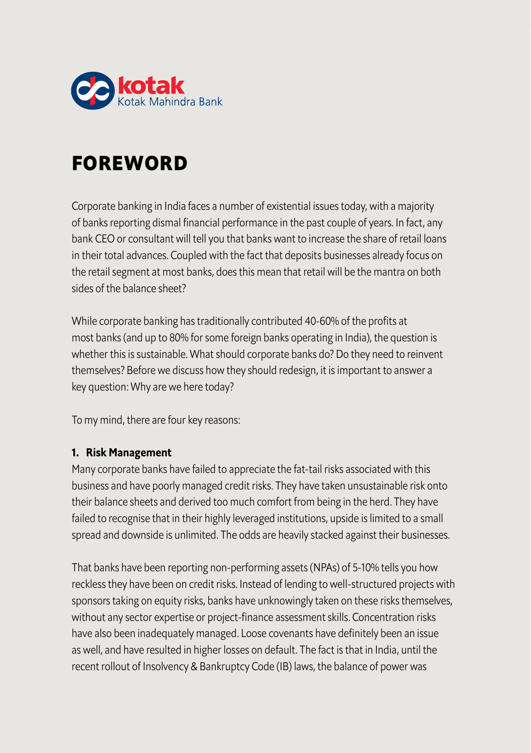

## **FOREWORD**

Corporate banking in India faces a number of existential issues today, with a majority of banks reporting dismal financial performance in the past couple of years. In fact, any bank CEO or consultant will tell you that banks want to increase the share of retail loans in their total advances. Coupled with the fact that deposits businesses already focus on the retail segment at most banks, does this mean that retail will be the mantra on both sides of the balance sheet?

While corporate banking has traditionally contributed 40-60% of the profits at most banks (and up to 80% for some foreign banks operating in India), the question is whether this is sustainable. What should corporate banks do? Do they need to reinvent themselves? Before we discuss how they should redesign, it is important to answer a key question: Why are we here today?

To my mind, there are four key reasons:

### **1. Risk Management**

Many corporate banks have failed to appreciate the fat-tail risks associated with this business and have poorly managed credit risks. They have taken unsustainable risk onto their balance sheets and derived too much comfort from being in the herd. They have failed to recognise that in their highly leveraged institutions, upside is limited to a small spread and downside is unlimited. The odds are heavily stacked against their businesses.

That banks have been reporting non-performing assets (NPAs) of 5-10% tells you how reckless they have been on credit risks. Instead of lending to well-structured projects with sponsors taking on equity risks, banks have unknowingly taken on these risks themselves, without any sector expertise or project-finance assessment skills. Concentration risks have also been inadequately managed. Loose covenants have definitely been an issue as well, and have resulted in higher losses on default. The fact is that in India, until the recent rollout of Insolvency & Bankruptcy Code (IB) laws, the balance of power was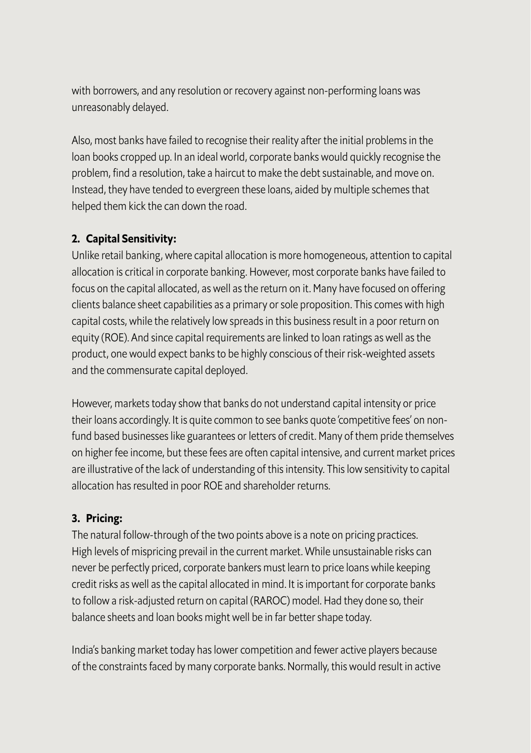with borrowers, and any resolution or recovery against non-performing loans was unreasonably delayed.

Also, most banks have failed to recognise their reality after the initial problems in the loan books cropped up. In an ideal world, corporate banks would quickly recognise the problem, find a resolution, take a haircut to make the debt sustainable, and move on. Instead, they have tended to evergreen these loans, aided by multiple schemes that helped them kick the can down the road.

### **2. Capital Sensitivity:**

Unlike retail banking, where capital allocation is more homogeneous, attention to capital allocation is critical in corporate banking. However, most corporate banks have failed to focus on the capital allocated, as well as the return on it. Many have focused on offering clients balance sheet capabilities as a primary or sole proposition. This comes with high capital costs, while the relatively low spreads in this business result in a poor return on equity (ROE). And since capital requirements are linked to loan ratings as well as the product, one would expect banks to be highly conscious of their risk-weighted assets and the commensurate capital deployed.

However, markets today show that banks do not understand capital intensity or price their loans accordingly. It is quite common to see banks quote 'competitive fees' on nonfund based businesses like guarantees or letters of credit. Many of them pride themselves on higher fee income, but these fees are often capital intensive, and current market prices are illustrative of the lack of understanding of this intensity. This low sensitivity to capital allocation has resulted in poor ROE and shareholder returns.

### **3. Pricing:**

The natural follow-through of the two points above is a note on pricing practices. High levels of mispricing prevail in the current market. While unsustainable risks can never be perfectly priced, corporate bankers must learn to price loans while keeping credit risks as well as the capital allocated in mind. It is important for corporate banks to follow a risk-adjusted return on capital (RAROC) model. Had they done so, their balance sheets and loan books might well be in far better shape today.

India's banking market today has lower competition and fewer active players because of the constraints faced by many corporate banks. Normally, this would result in active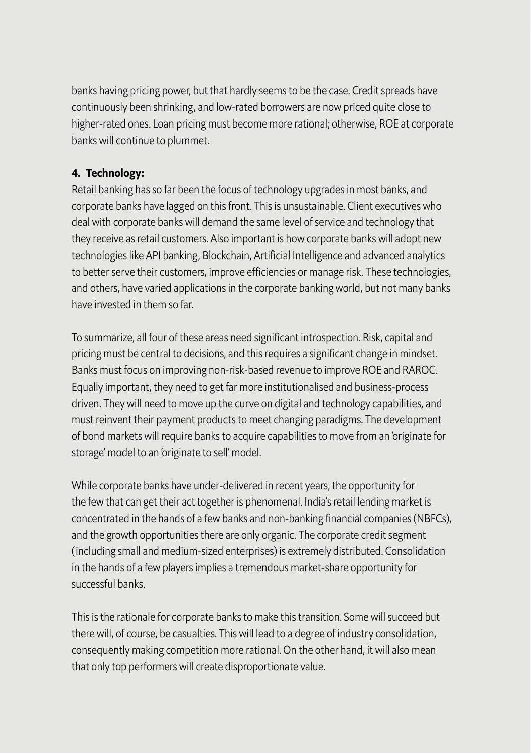banks having pricing power, but that hardly seems to be the case. Credit spreads have continuously been shrinking, and low-rated borrowers are now priced quite close to higher-rated ones. Loan pricing must become more rational; otherwise, ROE at corporate banks will continue to plummet.

### **4. Technology:**

Retail banking has so far been the focus of technology upgrades in most banks, and corporate banks have lagged on this front. This is unsustainable. Client executives who deal with corporate banks will demand the same level of service and technology that they receive as retail customers. Also important is how corporate banks will adopt new technologies like API banking, Blockchain, Artificial Intelligence and advanced analytics to better serve their customers, improve efficiencies or manage risk. These technologies, and others, have varied applications in the corporate banking world, but not many banks have invested in them so far.

To summarize, all four of these areas need significant introspection. Risk, capital and pricing must be central to decisions, and this requires a significant change in mindset. Banks must focus on improving non-risk-based revenue to improve ROE and RAROC. Equally important, they need to get far more institutionalised and business-process driven. They will need to move up the curve on digital and technology capabilities, and must reinvent their payment products to meet changing paradigms. The development of bond markets will require banks to acquire capabilities to move from an 'originate for storage' model to an 'originate to sell' model.

While corporate banks have under-delivered in recent years, the opportunity for the few that can get their act together is phenomenal. India's retail lending market is concentrated in the hands of a few banks and non-banking financial companies (NBFCs), and the growth opportunities there are only organic. The corporate credit segment (including small and medium-sized enterprises) is extremely distributed. Consolidation in the hands of a few players implies a tremendous market-share opportunity for successful banks.

This is the rationale for corporate banks to make this transition. Some will succeed but there will, of course, be casualties. This will lead to a degree of industry consolidation, consequently making competition more rational. On the other hand, it will also mean that only top performers will create disproportionate value.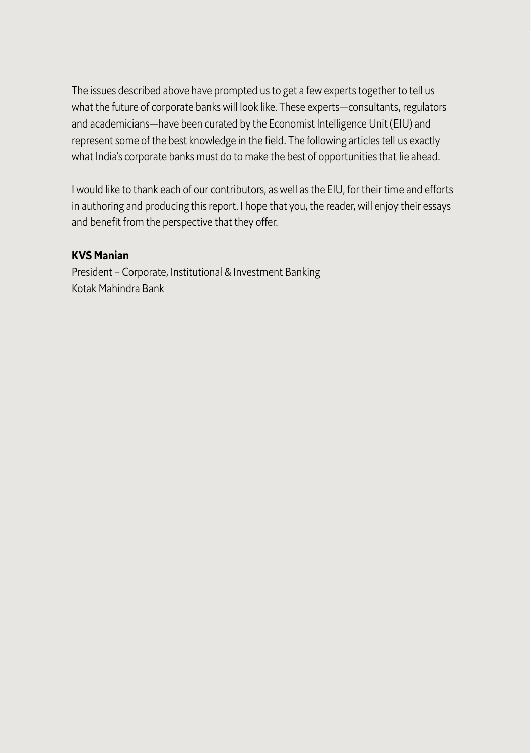The issues described above have prompted us to get a few experts together to tell us what the future of corporate banks will look like. These experts—consultants, regulators and academicians—have been curated by the Economist Intelligence Unit (EIU) and represent some of the best knowledge in the field. The following articles tell us exactly what India's corporate banks must do to make the best of opportunities that lie ahead.

I would like to thank each of our contributors, as well as the EIU, for their time and efforts in authoring and producing this report. I hope that you, the reader, will enjoy their essays and benefit from the perspective that they offer.

### **KVS Manian**

President – Corporate, Institutional & Investment Banking Kotak Mahindra Bank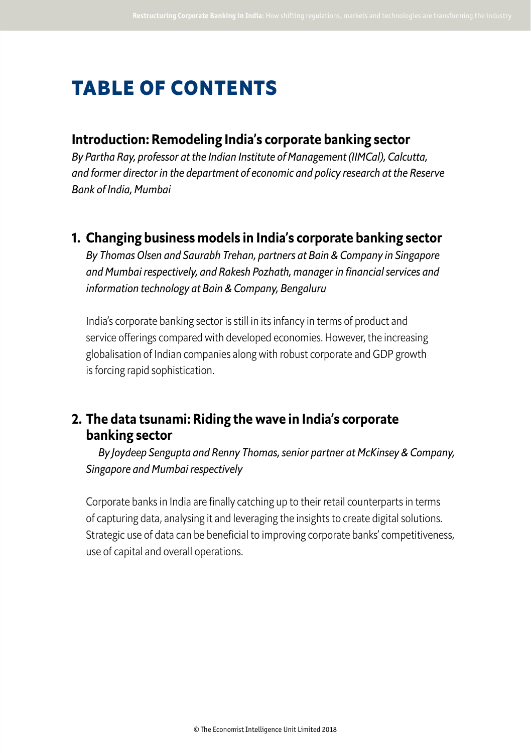## **TABLE OF CONTENTS**

### **Introduction: Remodeling India's corporate banking sector**

*By Partha Ray, professor at the Indian Institute of Management (IIMCal), Calcutta, and former director in the department of economic and policy research at the Reserve Bank of India, Mumbai*

**1. Changing business models in India's corporate banking sector**

*By Thomas Olsen and Saurabh Trehan, partners at Bain & Company in Singapore and Mumbai respectively, and Rakesh Pozhath, manager in financial services and information technology at Bain & Company, Bengaluru*

 India's corporate banking sector is still in its infancy in terms of product and service offerings compared with developed economies. However, the increasing globalisation of Indian companies along with robust corporate and GDP growth is forcing rapid sophistication.

## **2. The data tsunami: Riding the wave in India's corporate banking sector**

*By Joydeep Sengupta and Renny Thomas, senior partner at McKinsey & Company, Singapore and Mumbai respectively*

 Corporate banks in India are finally catching up to their retail counterparts in terms of capturing data, analysing it and leveraging the insights to create digital solutions. Strategic use of data can be beneficial to improving corporate banks' competitiveness, use of capital and overall operations.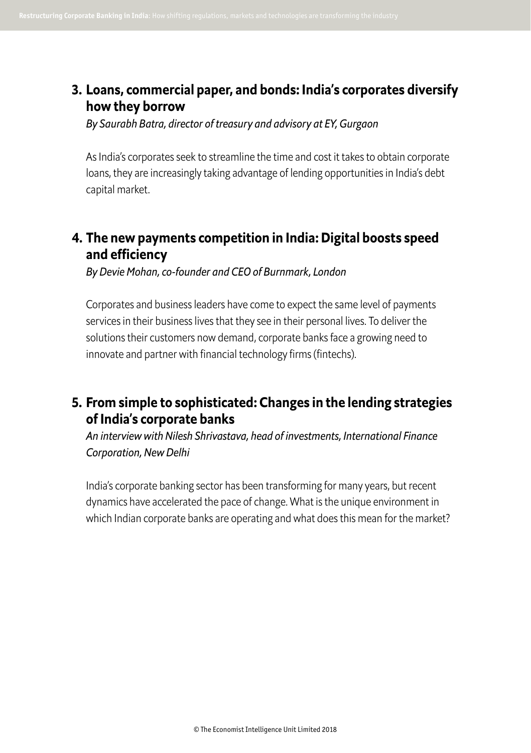### **3. Loans, commercial paper, and bonds: India's corporates diversify how they borrow**

*By Saurabh Batra, director of treasury and advisory at EY, Gurgaon* 

 As India's corporates seek to streamline the time and cost it takes to obtain corporate loans, they are increasingly taking advantage of lending opportunities in India's debt capital market.

## **4. The new payments competition in India: Digital boosts speed and efciency**

*By Devie Mohan, co-founder and CEO of Burnmark, London* 

 Corporates and business leaders have come to expect the same level of payments services in their business lives that they see in their personal lives. To deliver the solutions their customers now demand, corporate banks face a growing need to innovate and partner with financial technology firms (fintechs).

## **5. From simple to sophisticated: Changes in the lending strategies of India's corporate banks**

*An interview with Nilesh Shrivastava, head of investments, International Finance Corporation, New Delhi* 

 India's corporate banking sector has been transforming for many years, but recent dynamics have accelerated the pace of change. What is the unique environment in which Indian corporate banks are operating and what does this mean for the market?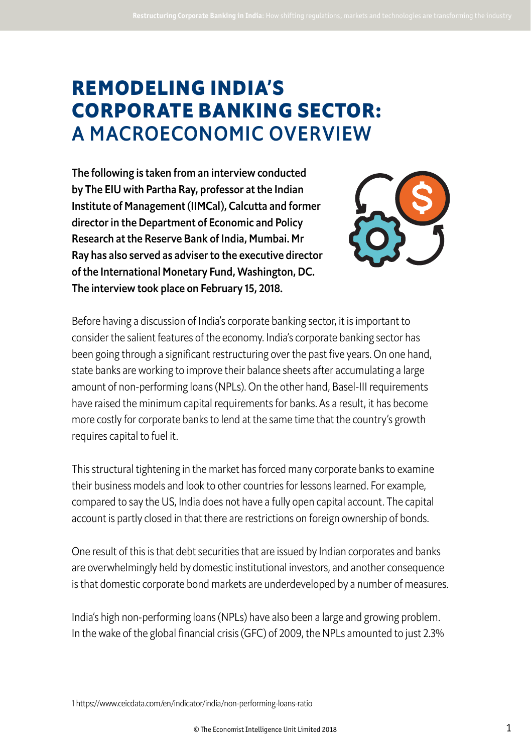## **REMODELING INDIA'S CORPORATE BANKING SECTOR:**  A MACROECONOMIC OVERVIEW

The following is taken from an interview conducted by The EIU with Partha Ray, professor at the Indian Institute of Management (IIMCal), Calcutta and former director in the Department of Economic and Policy Research at the Reserve Bank of India, Mumbai. Mr Ray has also served as adviser to the executive director of the International Monetary Fund, Washington, DC. The interview took place on February 15, 2018.



Before having a discussion of India's corporate banking sector, it is important to consider the salient features of the economy. India's corporate banking sector has been going through a significant restructuring over the past five years. On one hand, state banks are working to improve their balance sheets after accumulating a large amount of non-performing loans (NPLs). On the other hand, Basel-III requirements have raised the minimum capital requirements for banks. As a result, it has become more costly for corporate banks to lend at the same time that the country's growth requires capital to fuel it.

This structural tightening in the market has forced many corporate banks to examine their business models and look to other countries for lessons learned. For example, compared to say the US, India does not have a fully open capital account. The capital account is partly closed in that there are restrictions on foreign ownership of bonds.

One result of this is that debt securities that are issued by Indian corporates and banks are overwhelmingly held by domestic institutional investors, and another consequence is that domestic corporate bond markets are underdeveloped by a number of measures.

India's high non-performing loans (NPLs) have also been a large and growing problem. In the wake of the global financial crisis (GFC) of 2009, the NPLs amounted to just 2.3%

1 https://www.ceicdata.com/en/indicator/india/non-performing-loans-ratio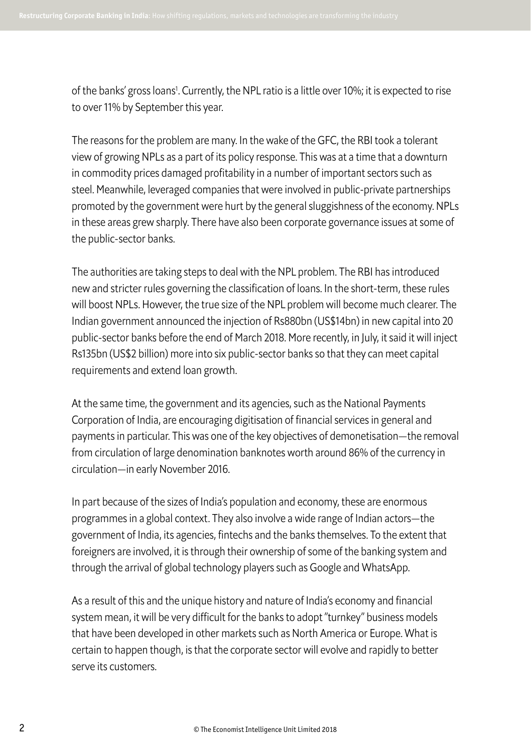of the banks' gross loans<sup>1</sup>. Currently, the NPL ratio is a little over 10%; it is expected to rise to over 11% by September this year.

The reasons for the problem are many. In the wake of the GFC, the RBI took a tolerant view of growing NPLs as a part of its policy response. This was at a time that a downturn in commodity prices damaged profitability in a number of important sectors such as steel. Meanwhile, leveraged companies that were involved in public-private partnerships promoted by the government were hurt by the general sluggishness of the economy. NPLs in these areas grew sharply. There have also been corporate governance issues at some of the public-sector banks.

The authorities are taking steps to deal with the NPL problem. The RBI has introduced new and stricter rules governing the classification of loans. In the short-term, these rules will boost NPLs. However, the true size of the NPL problem will become much clearer. The Indian government announced the injection of Rs880bn (US\$14bn) in new capital into 20 public-sector banks before the end of March 2018. More recently, in July, it said it will inject Rs135bn (US\$2 billion) more into six public-sector banks so that they can meet capital requirements and extend loan growth.

At the same time, the government and its agencies, such as the National Payments Corporation of India, are encouraging digitisation of financial services in general and payments in particular. This was one of the key objectives of demonetisation—the removal from circulation of large denomination banknotes worth around 86% of the currency in circulation—in early November 2016.

In part because of the sizes of India's population and economy, these are enormous programmes in a global context. They also involve a wide range of Indian actors—the government of India, its agencies, fintechs and the banks themselves. To the extent that foreigners are involved, it is through their ownership of some of the banking system and through the arrival of global technology players such as Google and WhatsApp.

As a result of this and the unique history and nature of India's economy and financial system mean, it will be very difficult for the banks to adopt "turnkey" business models that have been developed in other markets such as North America or Europe. What is certain to happen though, is that the corporate sector will evolve and rapidly to better serve its customers.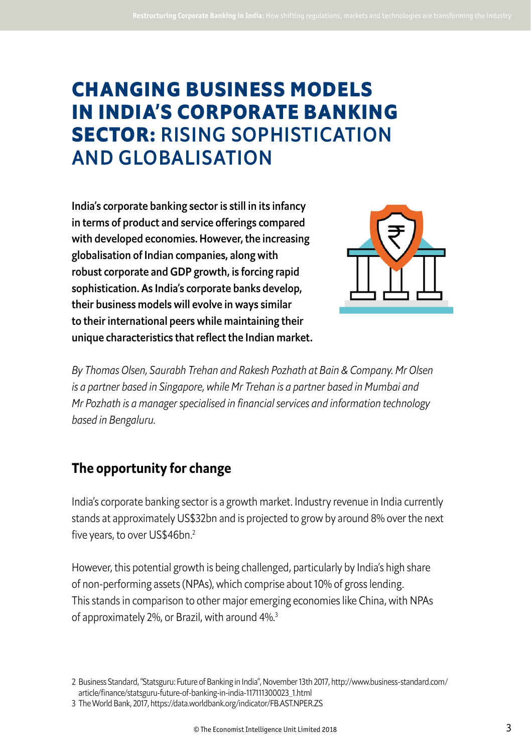## **CHANGING BUSINESS MODELS IN INDIA'S CORPORATE BANKING SECTOR:** RISING SOPHISTICATION AND GLOBALISATION

India's corporate banking sector is still in its infancy in terms of product and service offerings compared with developed economies. However, the increasing globalisation of Indian companies, along with robust corporate and GDP growth, is forcing rapid sophistication. As India's corporate banks develop, their business models will evolve in ways similar to their international peers while maintaining their unique characteristics that reflect the Indian market.



*By Thomas Olsen, Saurabh Trehan and Rakesh Pozhath at Bain & Company. Mr Olsen is a partner based in Singapore, while Mr Trehan is a partner based in Mumbai and Mr Pozhath is a manager specialised in financial services and information technology based in Bengaluru.* 

## **The opportunity for change**

India's corporate banking sector is a growth market. Industry revenue in India currently stands at approximately US\$32bn and is projected to grow by around 8% over the next five years, to over US\$46bn.<sup>2</sup>

However, this potential growth is being challenged, particularly by India's high share of non-performing assets (NPAs), which comprise about 10% of gross lending. This stands in comparison to other major emerging economies like China, with NPAs of approximately 2%, or Brazil, with around 4%.<sup>3</sup>

2 Business Standard, "Statsguru: Future of Banking in India", November 13th 2017, http://www.business-standard.com/ article/finance/statsguru-future-of-banking-in-india-117111300023\_1.html

3 The World Bank, 2017, https://data.worldbank.org/indicator/FB.AST.NPER.ZS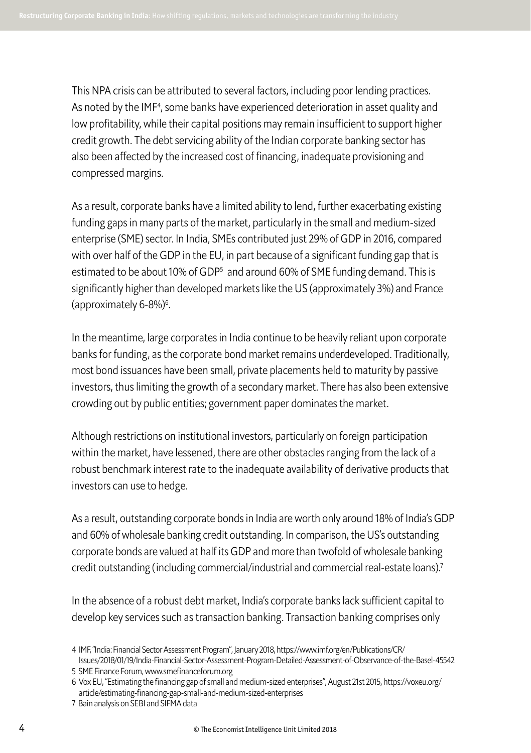This NPA crisis can be attributed to several factors, including poor lending practices. As noted by the IMF<sup>4</sup>, some banks have experienced deterioration in asset quality and low profitability, while their capital positions may remain insufficient to support higher credit growth. The debt servicing ability of the Indian corporate banking sector has also been afected by the increased cost of financing, inadequate provisioning and compressed margins.

As a result, corporate banks have a limited ability to lend, further exacerbating existing funding gaps in many parts of the market, particularly in the small and medium-sized enterprise (SME) sector. In India, SMEs contributed just 29% of GDP in 2016, compared with over half of the GDP in the EU, in part because of a significant funding gap that is estimated to be about 10% of GDP<sup>5</sup> and around 60% of SME funding demand. This is significantly higher than developed markets like the US (approximately 3%) and France (approximately 6-8%)<sup>6</sup> .

In the meantime, large corporates in India continue to be heavily reliant upon corporate banks for funding, as the corporate bond market remains underdeveloped. Traditionally, most bond issuances have been small, private placements held to maturity by passive investors, thus limiting the growth of a secondary market. There has also been extensive crowding out by public entities; government paper dominates the market.

Although restrictions on institutional investors, particularly on foreign participation within the market, have lessened, there are other obstacles ranging from the lack of a robust benchmark interest rate to the inadequate availability of derivative products that investors can use to hedge.

As a result, outstanding corporate bonds in India are worth only around 18% of India's GDP and 60% of wholesale banking credit outstanding. In comparison, the US's outstanding corporate bonds are valued at half its GDP and more than twofold of wholesale banking credit outstanding (including commercial/industrial and commercial real-estate loans).<sup>7</sup>

In the absence of a robust debt market, India's corporate banks lack sufficient capital to develop key services such as transaction banking. Transaction banking comprises only

<sup>4</sup> IMF, "India: Financial Sector Assessment Program", January 2018, https://www.imf.org/en/Publications/CR/

Issues/2018/01/19/India-Financial-Sector-Assessment-Program-Detailed-Assessment-of-Observance-of-the-Basel-45542 5 SME Finance Forum, www.smefinanceforum.org

<sup>6</sup> Vox EU, "Estimating the financing gap of small and medium-sized enterprises", August 21st 2015, https://voxeu.org/ article/estimating-financing-gap-small-and-medium-sized-enterprises

<sup>7</sup> Bain analysis on SEBI and SIFMA data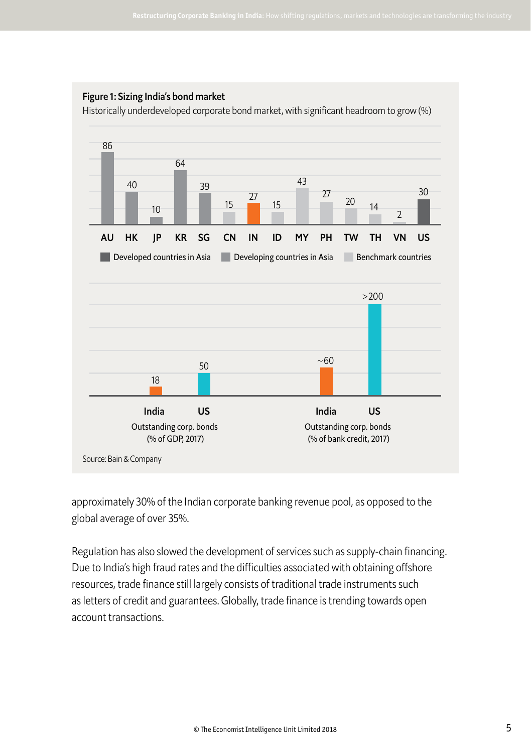

Historically underdeveloped corporate bond market, with significant headroom to grow (%)



approximately 30% of the Indian corporate banking revenue pool, as opposed to the global average of over 35%.

Regulation has also slowed the development of services such as supply-chain financing. Due to India's high fraud rates and the difficulties associated with obtaining offshore resources, trade finance still largely consists of traditional trade instruments such as letters of credit and guarantees. Globally, trade finance is trending towards open account transactions.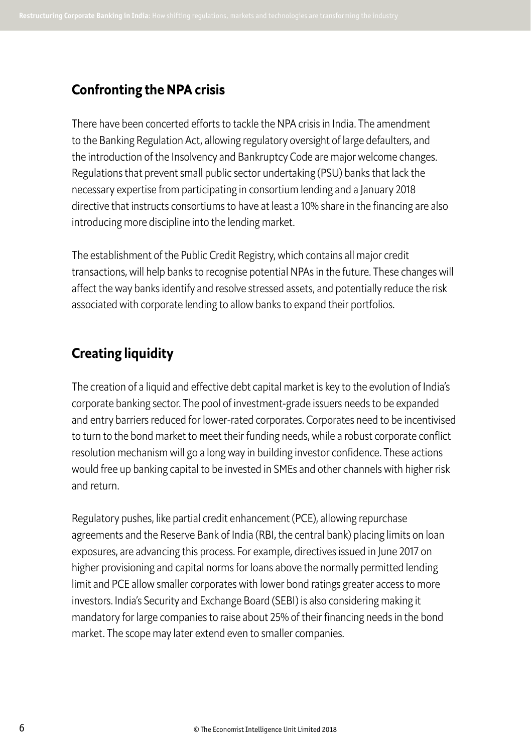## **Confronting the NPA crisis**

There have been concerted eforts to tackle the NPA crisis in India. The amendment to the Banking Regulation Act, allowing regulatory oversight of large defaulters, and the introduction of the Insolvency and Bankruptcy Code are major welcome changes. Regulations that prevent small public sector undertaking (PSU) banks that lack the necessary expertise from participating in consortium lending and a January 2018 directive that instructs consortiums to have at least a 10% share in the financing are also introducing more discipline into the lending market.

The establishment of the Public Credit Registry, which contains all major credit transactions, will help banks to recognise potential NPAs in the future. These changes will afect the way banks identify and resolve stressed assets, and potentially reduce the risk associated with corporate lending to allow banks to expand their portfolios.

## **Creating liquidity**

The creation of a liquid and effective debt capital market is key to the evolution of India's corporate banking sector. The pool of investment-grade issuers needs to be expanded and entry barriers reduced for lower-rated corporates. Corporates need to be incentivised to turn to the bond market to meet their funding needs, while a robust corporate conflict resolution mechanism will go a long way in building investor confidence. These actions would free up banking capital to be invested in SMEs and other channels with higher risk and return.

Regulatory pushes, like partial credit enhancement (PCE), allowing repurchase agreements and the Reserve Bank of India (RBI, the central bank) placing limits on loan exposures, are advancing this process. For example, directives issued in June 2017 on higher provisioning and capital norms for loans above the normally permitted lending limit and PCE allow smaller corporates with lower bond ratings greater access to more investors. India's Security and Exchange Board (SEBI) is also considering making it mandatory for large companies to raise about 25% of their financing needs in the bond market. The scope may later extend even to smaller companies.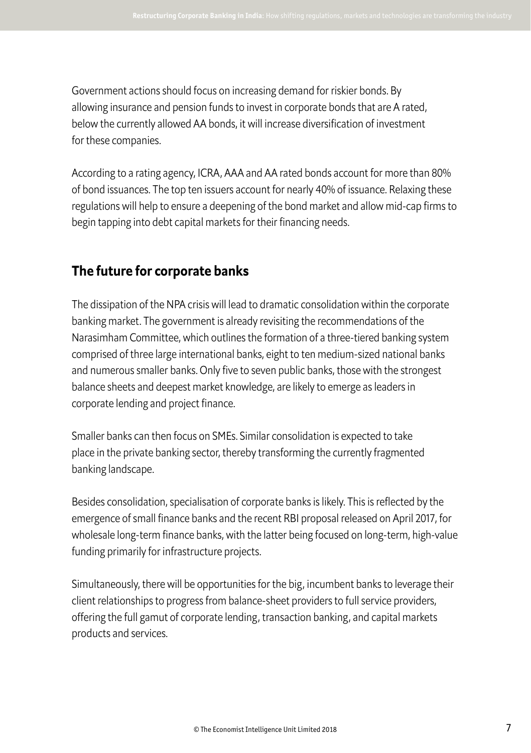Government actions should focus on increasing demand for riskier bonds. By allowing insurance and pension funds to invest in corporate bonds that are A rated, below the currently allowed AA bonds, it will increase diversification of investment for these companies.

According to a rating agency, ICRA, AAA and AA rated bonds account for more than 80% of bond issuances. The top ten issuers account for nearly 40% of issuance. Relaxing these regulations will help to ensure a deepening of the bond market and allow mid-cap firms to begin tapping into debt capital markets for their financing needs.

## **The future for corporate banks**

The dissipation of the NPA crisis will lead to dramatic consolidation within the corporate banking market. The government is already revisiting the recommendations of the Narasimham Committee, which outlines the formation of a three-tiered banking system comprised of three large international banks, eight to ten medium-sized national banks and numerous smaller banks. Only five to seven public banks, those with the strongest balance sheets and deepest market knowledge, are likely to emerge as leaders in corporate lending and project finance.

Smaller banks can then focus on SMEs. Similar consolidation is expected to take place in the private banking sector, thereby transforming the currently fragmented banking landscape.

Besides consolidation, specialisation of corporate banks is likely. This is reflected by the emergence of small finance banks and the recent RBI proposal released on April 2017, for wholesale long-term finance banks, with the latter being focused on long-term, high-value funding primarily for infrastructure projects.

Simultaneously, there will be opportunities for the big, incumbent banks to leverage their client relationships to progress from balance-sheet providers to full service providers, ofering the full gamut of corporate lending, transaction banking, and capital markets products and services.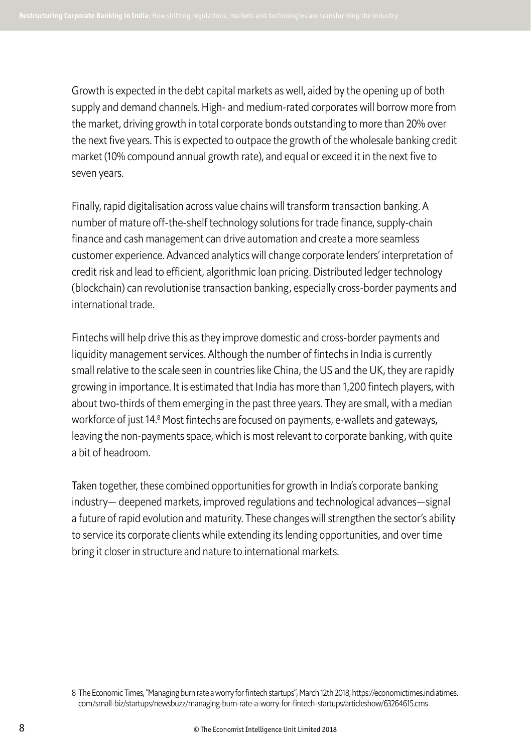Growth is expected in the debt capital markets as well, aided by the opening up of both supply and demand channels. High- and medium-rated corporates will borrow more from the market, driving growth in total corporate bonds outstanding to more than 20% over the next five years. This is expected to outpace the growth of the wholesale banking credit market (10% compound annual growth rate), and equal or exceed it in the next five to seven years.

Finally, rapid digitalisation across value chains will transform transaction banking. A number of mature off-the-shelf technology solutions for trade finance, supply-chain finance and cash management can drive automation and create a more seamless customer experience. Advanced analytics will change corporate lenders' interpretation of credit risk and lead to efficient, algorithmic loan pricing. Distributed ledger technology (blockchain) can revolutionise transaction banking, especially cross-border payments and international trade.

Fintechs will help drive this as they improve domestic and cross-border payments and liquidity management services. Although the number of fintechs in India is currently small relative to the scale seen in countries like China, the US and the UK, they are rapidly growing in importance. It is estimated that India has more than 1,200 fintech players, with about two-thirds of them emerging in the past three years. They are small, with a median workforce of just 14.8 Most fintechs are focused on payments, e-wallets and gateways, leaving the non-payments space, which is most relevant to corporate banking, with quite a bit of headroom.

Taken together, these combined opportunities for growth in India's corporate banking industry— deepened markets, improved regulations and technological advances—signal a future of rapid evolution and maturity. These changes will strengthen the sector's ability to service its corporate clients while extending its lending opportunities, and over time bring it closer in structure and nature to international markets.

<sup>8</sup> The Economic Times, "Managing burn rate a worry for fintech startups", March 12th 2018, https://economictimes.indiatimes. com/small-biz/startups/newsbuzz/managing-burn-rate-a-worry-for-fintech-startups/articleshow/63264615.cms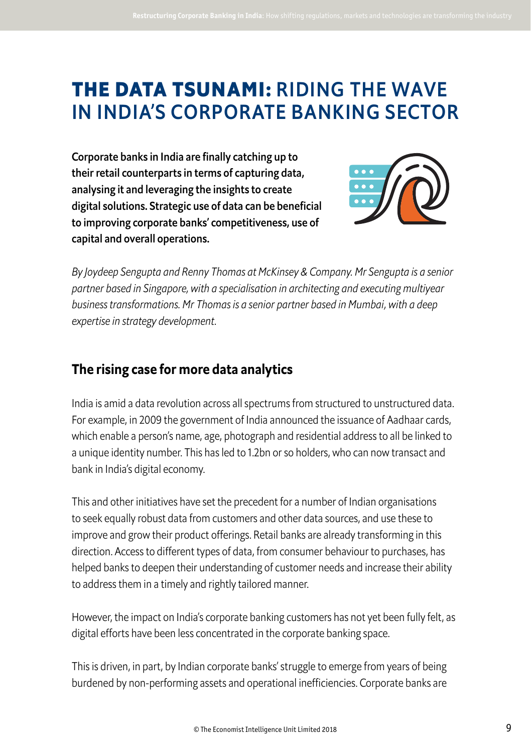## **THE DATA TSUNAMI:** RIDING THE WAVE IN INDIA'S CORPORATE BANKING SECTOR

Corporate banks in India are finally catching up to their retail counterparts in terms of capturing data, analysing it and leveraging the insights to create digital solutions. Strategic use of data can be beneficial to improving corporate banks' competitiveness, use of capital and overall operations.



*By Joydeep Sengupta and Renny Thomas at McKinsey & Company. Mr Sengupta is a senior partner based in Singapore, with a specialisation in architecting and executing multiyear business transformations. Mr Thomas is a senior partner based in Mumbai, with a deep expertise in strategy development.* 

## **The rising case for more data analytics**

India is amid a data revolution across all spectrums from structured to unstructured data. For example, in 2009 the government of India announced the issuance of Aadhaar cards, which enable a person's name, age, photograph and residential address to all be linked to a unique identity number. This has led to 1.2bn or so holders, who can now transact and bank in India's digital economy.

This and other initiatives have set the precedent for a number of Indian organisations to seek equally robust data from customers and other data sources, and use these to improve and grow their product offerings. Retail banks are already transforming in this direction. Access to diferent types of data, from consumer behaviour to purchases, has helped banks to deepen their understanding of customer needs and increase their ability to address them in a timely and rightly tailored manner.

However, the impact on India's corporate banking customers has not yet been fully felt, as digital efforts have been less concentrated in the corporate banking space.

This is driven, in part, by Indian corporate banks' struggle to emerge from years of being burdened by non-performing assets and operational inefficiencies. Corporate banks are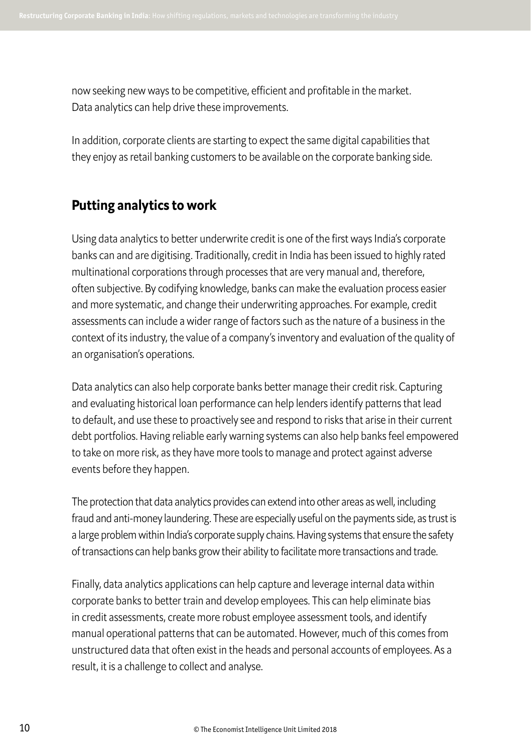now seeking new ways to be competitive, efficient and profitable in the market. Data analytics can help drive these improvements.

In addition, corporate clients are starting to expect the same digital capabilities that they enjoy as retail banking customers to be available on the corporate banking side.

## **Putting analytics to work**

Using data analytics to better underwrite credit is one of the first ways India's corporate banks can and are digitising. Traditionally, credit in India has been issued to highly rated multinational corporations through processes that are very manual and, therefore, often subjective. By codifying knowledge, banks can make the evaluation process easier and more systematic, and change their underwriting approaches. For example, credit assessments can include a wider range of factors such as the nature of a business in the context of its industry, the value of a company's inventory and evaluation of the quality of an organisation's operations.

Data analytics can also help corporate banks better manage their credit risk. Capturing and evaluating historical loan performance can help lenders identify patterns that lead to default, and use these to proactively see and respond to risks that arise in their current debt portfolios. Having reliable early warning systems can also help banks feel empowered to take on more risk, as they have more tools to manage and protect against adverse events before they happen.

The protection that data analytics provides can extend into other areas as well, including fraud and anti-money laundering. These are especially useful on the payments side, as trust is a large problem within India's corporate supply chains. Having systems that ensure the safety of transactions can help banks grow their ability to facilitate more transactions and trade.

Finally, data analytics applications can help capture and leverage internal data within corporate banks to better train and develop employees. This can help eliminate bias in credit assessments, create more robust employee assessment tools, and identify manual operational patterns that can be automated. However, much of this comes from unstructured data that often exist in the heads and personal accounts of employees. As a result, it is a challenge to collect and analyse.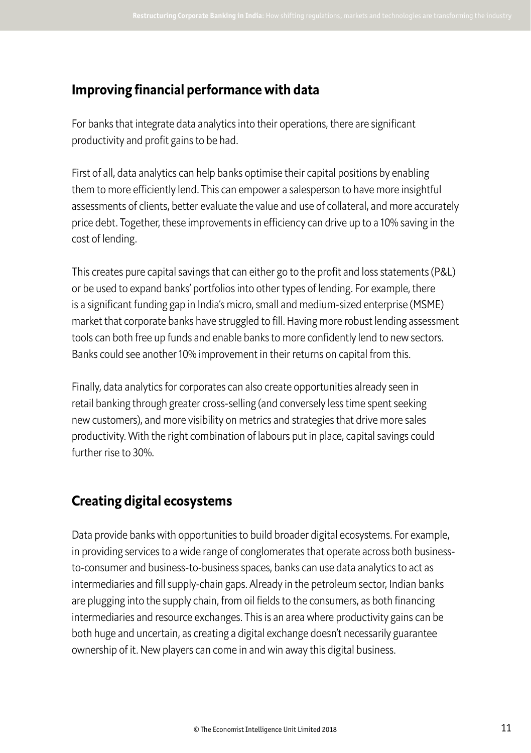## **Improving financial performance with data**

For banks that integrate data analytics into their operations, there are significant productivity and profit gains to be had.

First of all, data analytics can help banks optimise their capital positions by enabling them to more efficiently lend. This can empower a salesperson to have more insightful assessments of clients, better evaluate the value and use of collateral, and more accurately price debt. Together, these improvements in efficiency can drive up to a 10% saving in the cost of lending.

This creates pure capital savings that can either go to the profit and loss statements (P&L) or be used to expand banks' portfolios into other types of lending. For example, there is a significant funding gap in India's micro, small and medium-sized enterprise (MSME) market that corporate banks have struggled to fill. Having more robust lending assessment tools can both free up funds and enable banks to more confidently lend to new sectors. Banks could see another 10% improvement in their returns on capital from this.

Finally, data analytics for corporates can also create opportunities already seen in retail banking through greater cross-selling (and conversely less time spent seeking new customers), and more visibility on metrics and strategies that drive more sales productivity. With the right combination of labours put in place, capital savings could further rise to 30%.

## **Creating digital ecosystems**

Data provide banks with opportunities to build broader digital ecosystems. For example, in providing services to a wide range of conglomerates that operate across both businessto-consumer and business-to-business spaces, banks can use data analytics to act as intermediaries and fill supply-chain gaps. Already in the petroleum sector, Indian banks are plugging into the supply chain, from oil fields to the consumers, as both financing intermediaries and resource exchanges. This is an area where productivity gains can be both huge and uncertain, as creating a digital exchange doesn't necessarily guarantee ownership of it. New players can come in and win away this digital business.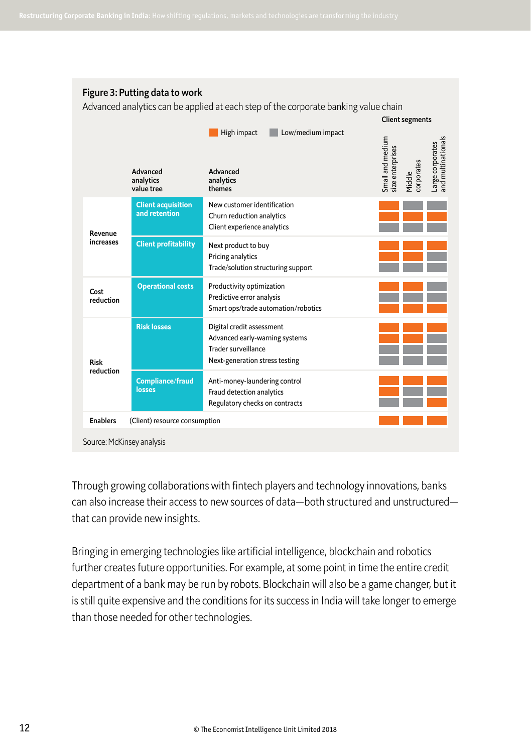#### Figure 3: Putting data to work

Advanced analytics can be applied at each step of the corporate banking value chain

|                           |                                            |                                                                                                                      | <b>Client segments</b>                                                                                 |
|---------------------------|--------------------------------------------|----------------------------------------------------------------------------------------------------------------------|--------------------------------------------------------------------------------------------------------|
|                           | Advanced<br>analytics<br>value tree        | Low/medium impact<br>High impact<br>Advanced<br>analytics<br>themes                                                  | and multinationals<br>Small and medium<br>-arge corporates<br>size enterprises<br>Middle<br>corporates |
| Revenue<br>increases      | <b>Client acquisition</b><br>and retention | New customer identification<br>Churn reduction analytics<br>Client experience analytics                              |                                                                                                        |
|                           | <b>Client profitability</b>                | Next product to buy<br>Pricing analytics<br>Trade/solution structuring support                                       |                                                                                                        |
| Cost<br>reduction         | <b>Operational costs</b>                   | Productivity optimization<br>Predictive error analysis<br>Smart ops/trade automation/robotics                        |                                                                                                        |
| <b>Risk</b><br>reduction  | <b>Risk losses</b>                         | Digital credit assessment<br>Advanced early-warning systems<br>Trader surveillance<br>Next-generation stress testing |                                                                                                        |
|                           | Compliance/fraud<br>losses                 | Anti-money-laundering control<br>Fraud detection analytics<br>Regulatory checks on contracts                         |                                                                                                        |
| <b>Enablers</b>           | (Client) resource consumption              |                                                                                                                      |                                                                                                        |
| Source: McKinsey analysis |                                            |                                                                                                                      |                                                                                                        |

Through growing collaborations with fintech players and technology innovations, banks can also increase their access to new sources of data—both structured and unstructured that can provide new insights.

Bringing in emerging technologies like artificial intelligence, blockchain and robotics further creates future opportunities. For example, at some point in time the entire credit department of a bank may be run by robots. Blockchain will also be a game changer, but it is still quite expensive and the conditions for its success in India will take longer to emerge than those needed for other technologies.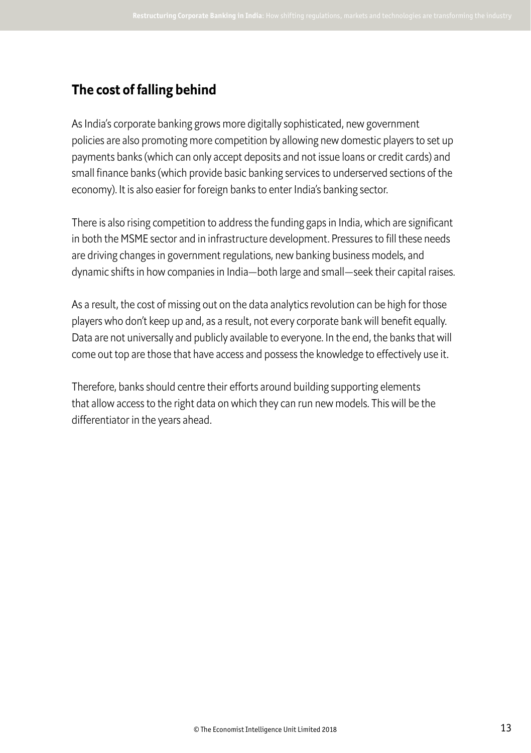## **The cost of falling behind**

As India's corporate banking grows more digitally sophisticated, new government policies are also promoting more competition by allowing new domestic players to set up payments banks (which can only accept deposits and not issue loans or credit cards) and small finance banks (which provide basic banking services to underserved sections of the economy). It is also easier for foreign banks to enter India's banking sector.

There is also rising competition to address the funding gaps in India, which are significant in both the MSME sector and in infrastructure development. Pressures to fill these needs are driving changes in government regulations, new banking business models, and dynamic shifts in how companies in India—both large and small—seek their capital raises.

As a result, the cost of missing out on the data analytics revolution can be high for those players who don't keep up and, as a result, not every corporate bank will benefit equally. Data are not universally and publicly available to everyone. In the end, the banks that will come out top are those that have access and possess the knowledge to efectively use it.

Therefore, banks should centre their efforts around building supporting elements that allow access to the right data on which they can run new models. This will be the diferentiator in the years ahead.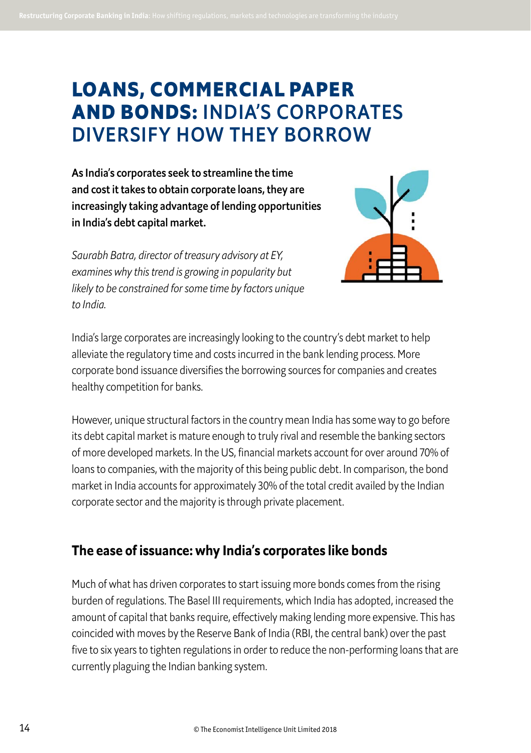## **LOANS, COMMERCIAL PAPER AND BONDS:** INDIA'S CORPORATES DIVERSIFY HOW THEY BORROW

As India's corporates seek to streamline the time and cost it takes to obtain corporate loans, they are increasingly taking advantage of lending opportunities in India's debt capital market.



*Saurabh Batra, director of treasury advisory at EY, examines why this trend is growing in popularity but likely to be constrained for some time by factors unique to India.* 

India's large corporates are increasingly looking to the country's debt market to help alleviate the regulatory time and costs incurred in the bank lending process. More corporate bond issuance diversifies the borrowing sources for companies and creates healthy competition for banks.

However, unique structural factors in the country mean India has some way to go before its debt capital market is mature enough to truly rival and resemble the banking sectors of more developed markets. In the US, financial markets account for over around 70% of loans to companies, with the majority of this being public debt. In comparison, the bond market in India accounts for approximately 30% of the total credit availed by the Indian corporate sector and the majority is through private placement.

## **The ease of issuance: why India's corporates like bonds**

Much of what has driven corporates to start issuing more bonds comes from the rising burden of regulations. The Basel III requirements, which India has adopted, increased the amount of capital that banks require, effectively making lending more expensive. This has coincided with moves by the Reserve Bank of India (RBI, the central bank) over the past five to six years to tighten regulations in order to reduce the non-performing loans that are currently plaguing the Indian banking system.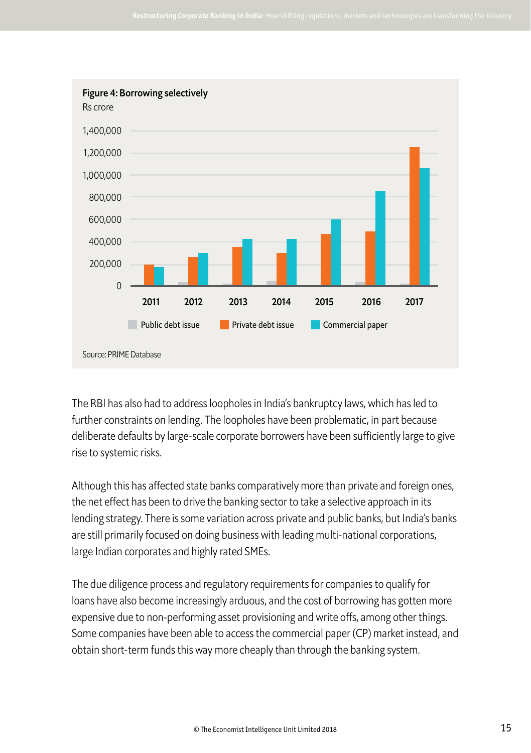

The RBI has also had to address loopholes in India's bankruptcy laws, which has led to further constraints on lending. The loopholes have been problematic, in part because deliberate defaults by large-scale corporate borrowers have been sufficiently large to give rise to systemic risks.

Although this has affected state banks comparatively more than private and foreign ones, the net efect has been to drive the banking sector to take a selective approach in its lending strategy. There is some variation across private and public banks, but India's banks are still primarily focused on doing business with leading multi-national corporations, large Indian corporates and highly rated SMEs.

The due diligence process and regulatory requirements for companies to qualify for loans have also become increasingly arduous, and the cost of borrowing has gotten more expensive due to non-performing asset provisioning and write offs, among other things. Some companies have been able to access the commercial paper (CP) market instead, and obtain short-term funds this way more cheaply than through the banking system.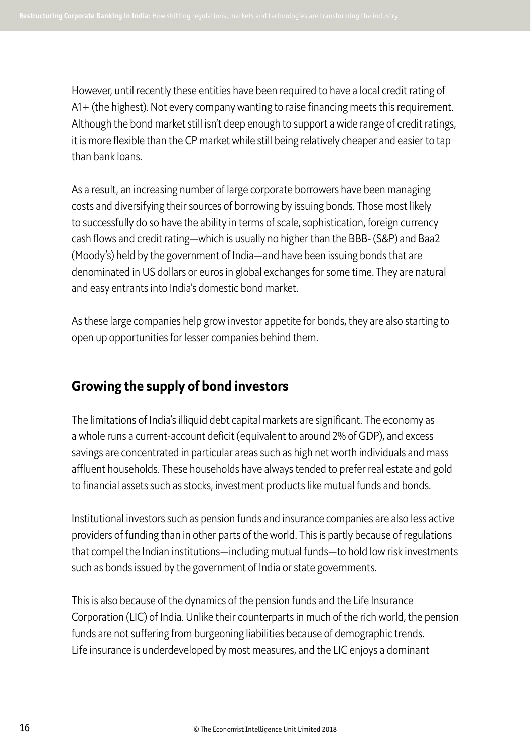However, until recently these entities have been required to have a local credit rating of A1+ (the highest). Not every company wanting to raise financing meets this requirement. Although the bond market still isn't deep enough to support a wide range of credit ratings, it is more flexible than the CP market while still being relatively cheaper and easier to tap than bank loans.

As a result, an increasing number of large corporate borrowers have been managing costs and diversifying their sources of borrowing by issuing bonds. Those most likely to successfully do so have the ability in terms of scale, sophistication, foreign currency cash flows and credit rating—which is usually no higher than the BBB- (S&P) and Baa2 (Moody's) held by the government of India—and have been issuing bonds that are denominated in US dollars or euros in global exchanges for some time. They are natural and easy entrants into India's domestic bond market.

As these large companies help grow investor appetite for bonds, they are also starting to open up opportunities for lesser companies behind them.

## **Growing the supply of bond investors**

The limitations of India's illiquid debt capital markets are significant. The economy as a whole runs a current-account deficit (equivalent to around 2% of GDP), and excess savings are concentrated in particular areas such as high net worth individuals and mass affluent households. These households have always tended to prefer real estate and gold to financial assets such as stocks, investment products like mutual funds and bonds.

Institutional investors such as pension funds and insurance companies are also less active providers of funding than in other parts of the world. This is partly because of regulations that compel the Indian institutions—including mutual funds—to hold low risk investments such as bonds issued by the government of India or state governments.

This is also because of the dynamics of the pension funds and the Life Insurance Corporation (LIC) of India. Unlike their counterparts in much of the rich world, the pension funds are not suffering from burgeoning liabilities because of demographic trends. Life insurance is underdeveloped by most measures, and the LIC enjoys a dominant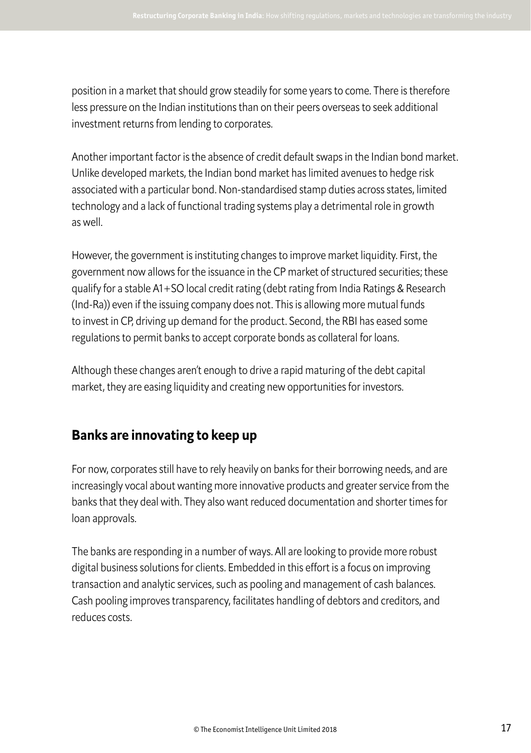position in a market that should grow steadily for some years to come. There is therefore less pressure on the Indian institutions than on their peers overseas to seek additional investment returns from lending to corporates.

Another important factor is the absence of credit default swaps in the Indian bond market. Unlike developed markets, the Indian bond market has limited avenues to hedge risk associated with a particular bond. Non-standardised stamp duties across states, limited technology and a lack of functional trading systems play a detrimental role in growth as well.

However, the government is instituting changes to improve market liquidity. First, the government now allows for the issuance in the CP market of structured securities; these qualify for a stable A1+SO local credit rating (debt rating from India Ratings & Research (Ind-Ra)) even if the issuing company does not. This is allowing more mutual funds to invest in CP, driving up demand for the product. Second, the RBI has eased some regulations to permit banks to accept corporate bonds as collateral for loans.

Although these changes aren't enough to drive a rapid maturing of the debt capital market, they are easing liquidity and creating new opportunities for investors.

## **Banks are innovating to keep up**

For now, corporates still have to rely heavily on banks for their borrowing needs, and are increasingly vocal about wanting more innovative products and greater service from the banks that they deal with. They also want reduced documentation and shorter times for loan approvals.

The banks are responding in a number of ways. All are looking to provide more robust digital business solutions for clients. Embedded in this efort is a focus on improving transaction and analytic services, such as pooling and management of cash balances. Cash pooling improves transparency, facilitates handling of debtors and creditors, and reduces costs.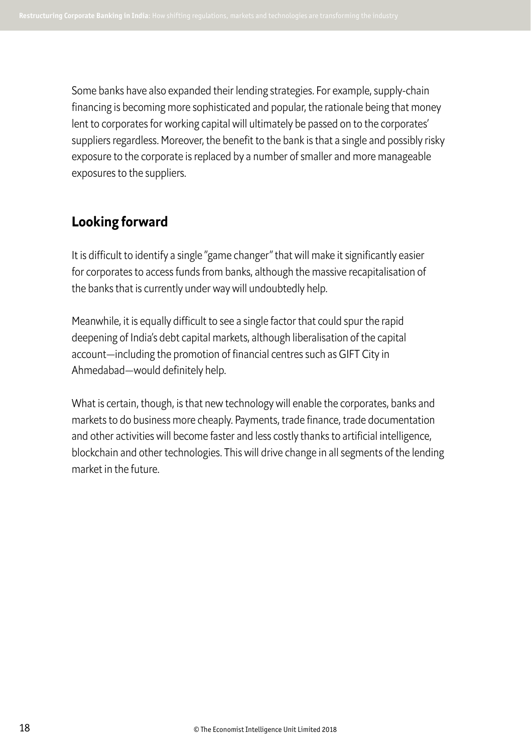Some banks have also expanded their lending strategies. For example, supply-chain financing is becoming more sophisticated and popular, the rationale being that money lent to corporates for working capital will ultimately be passed on to the corporates' suppliers regardless. Moreover, the benefit to the bank is that a single and possibly risky exposure to the corporate is replaced by a number of smaller and more manageable exposures to the suppliers.

## **Looking forward**

It is difficult to identify a single "game changer" that will make it significantly easier for corporates to access funds from banks, although the massive recapitalisation of the banks that is currently under way will undoubtedly help.

Meanwhile, it is equally difficult to see a single factor that could spur the rapid deepening of India's debt capital markets, although liberalisation of the capital account—including the promotion of financial centres such as GIFT City in Ahmedabad—would definitely help.

What is certain, though, is that new technology will enable the corporates, banks and markets to do business more cheaply. Payments, trade finance, trade documentation and other activities will become faster and less costly thanks to artificial intelligence, blockchain and other technologies. This will drive change in all segments of the lending market in the future.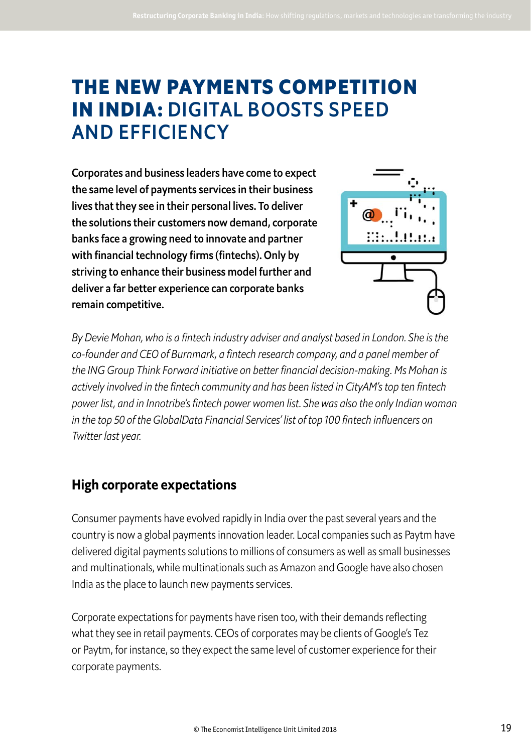## **THE NEW PAYMENTS COMPETITION IN INDIA:** DIGITAL BOOSTS SPEED AND EFFICIENCY

Corporates and business leaders have come to expect the same level of payments services in their business lives that they see in their personal lives. To deliver the solutions their customers now demand, corporate banks face a growing need to innovate and partner with financial technology firms (fintechs). Only by striving to enhance their business model further and deliver a far better experience can corporate banks remain competitive.



*By Devie Mohan, who is a fintech industry adviser and analyst based in London. She is the co-founder and CEO of Burnmark, a fintech research company, and a panel member of the ING Group Think Forward initiative on better financial decision-making. Ms Mohan is actively involved in the fintech community and has been listed in CityAM's top ten fintech power list, and in Innotribe's fintech power women list. She was also the only Indian woman in the top* 50 *of the GlobalData Financial Services' list of top* 100 *fintech influencers on Twitter last year.*

## **High corporate expectations**

Consumer payments have evolved rapidly in India over the past several years and the country is now a global payments innovation leader. Local companies such as Paytm have delivered digital payments solutions to millions of consumers as well as small businesses and multinationals, while multinationals such as Amazon and Google have also chosen India as the place to launch new payments services.

Corporate expectations for payments have risen too, with their demands reflecting what they see in retail payments. CEOs of corporates may be clients of Google's Tez or Paytm, for instance, so they expect the same level of customer experience for their corporate payments.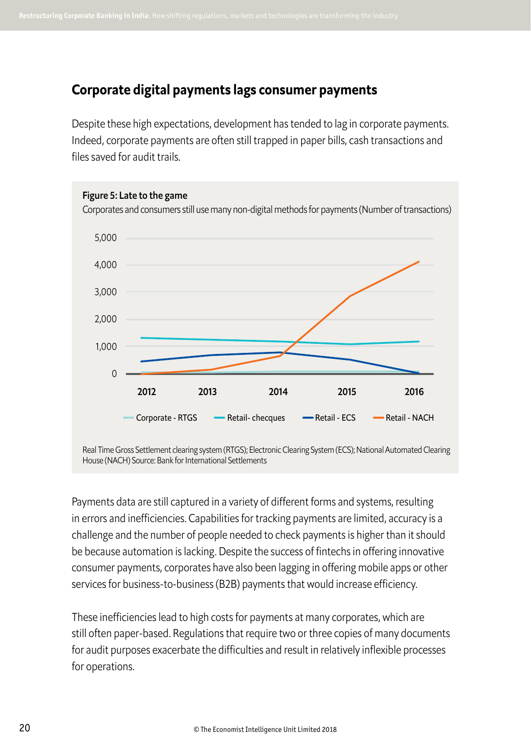## **Corporate digital payments lags consumer payments**

Despite these high expectations, development has tended to lag in corporate payments. Indeed, corporate payments are often still trapped in paper bills, cash transactions and files saved for audit trails.



Real Time Gross Settlement clearing system (RTGS); Electronic Clearing System (ECS); National Automated Clearing House (NACH) Source: Bank for International Settlements

Payments data are still captured in a variety of diferent forms and systems, resulting in errors and inefficiencies. Capabilities for tracking payments are limited, accuracy is a challenge and the number of people needed to check payments is higher than it should be because automation is lacking. Despite the success of fintechs in offering innovative consumer payments, corporates have also been lagging in ofering mobile apps or other services for business-to-business (B2B) payments that would increase efficiency.

These inefficiencies lead to high costs for payments at many corporates, which are still often paper-based. Regulations that require two or three copies of many documents for audit purposes exacerbate the difficulties and result in relatively inflexible processes for operations.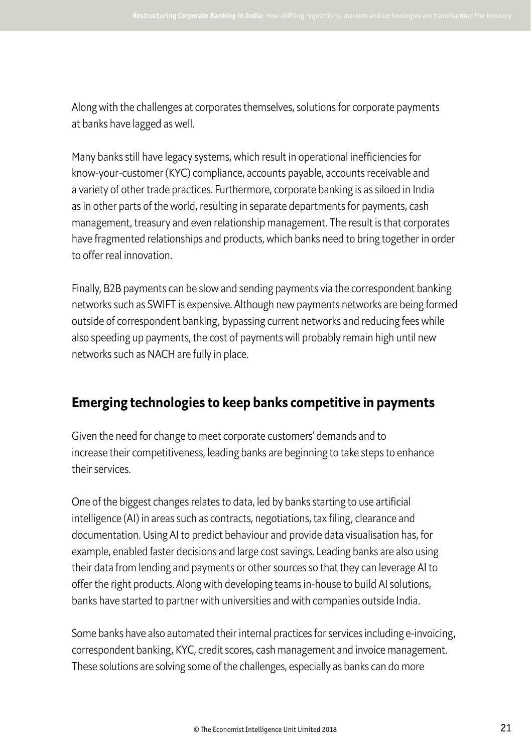Along with the challenges at corporates themselves, solutions for corporate payments at banks have lagged as well.

Many banks still have legacy systems, which result in operational inefficiencies for know-your-customer (KYC) compliance, accounts payable, accounts receivable and a variety of other trade practices. Furthermore, corporate banking is as siloed in India as in other parts of the world, resulting in separate departments for payments, cash management, treasury and even relationship management. The result is that corporates have fragmented relationships and products, which banks need to bring together in order to offer real innovation.

Finally, B2B payments can be slow and sending payments via the correspondent banking networks such as SWIFT is expensive. Although new payments networks are being formed outside of correspondent banking, bypassing current networks and reducing fees while also speeding up payments, the cost of payments will probably remain high until new networks such as NACH are fully in place.

## **Emerging technologies to keep banks competitive in payments**

Given the need for change to meet corporate customers' demands and to increase their competitiveness, leading banks are beginning to take steps to enhance their services.

One of the biggest changes relates to data, led by banks starting to use artificial intelligence (AI) in areas such as contracts, negotiations, tax filing, clearance and documentation. Using AI to predict behaviour and provide data visualisation has, for example, enabled faster decisions and large cost savings. Leading banks are also using their data from lending and payments or other sources so that they can leverage AI to ofer the right products. Along with developing teams in-house to build AI solutions, banks have started to partner with universities and with companies outside India.

Some banks have also automated their internal practices for services including e-invoicing, correspondent banking, KYC, credit scores, cash management and invoice management. These solutions are solving some of the challenges, especially as banks can do more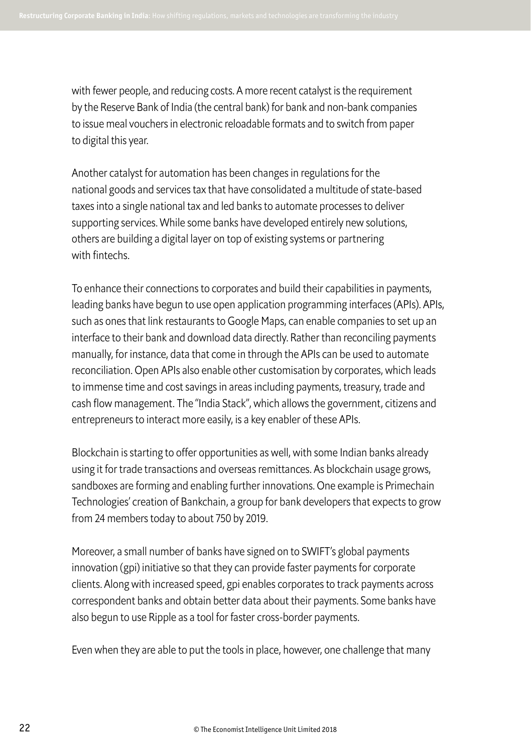with fewer people, and reducing costs. A more recent catalyst is the requirement by the Reserve Bank of India (the central bank) for bank and non-bank companies to issue meal vouchers in electronic reloadable formats and to switch from paper to digital this year.

Another catalyst for automation has been changes in regulations for the national goods and services tax that have consolidated a multitude of state-based taxes into a single national tax and led banks to automate processes to deliver supporting services. While some banks have developed entirely new solutions, others are building a digital layer on top of existing systems or partnering with fintechs.

To enhance their connections to corporates and build their capabilities in payments, leading banks have begun to use open application programming interfaces (APIs). APIs, such as ones that link restaurants to Google Maps, can enable companies to set up an interface to their bank and download data directly. Rather than reconciling payments manually, for instance, data that come in through the APIs can be used to automate reconciliation. Open APIs also enable other customisation by corporates, which leads to immense time and cost savings in areas including payments, treasury, trade and cash flow management. The "India Stack", which allows the government, citizens and entrepreneurs to interact more easily, is a key enabler of these APIs.

Blockchain is starting to offer opportunities as well, with some Indian banks already using it for trade transactions and overseas remittances. As blockchain usage grows, sandboxes are forming and enabling further innovations. One example is Primechain Technologies' creation of Bankchain, a group for bank developers that expects to grow from 24 members today to about 750 by 2019.

Moreover, a small number of banks have signed on to SWIFT's global payments innovation (gpi) initiative so that they can provide faster payments for corporate clients. Along with increased speed, gpi enables corporates to track payments across correspondent banks and obtain better data about their payments. Some banks have also begun to use Ripple as a tool for faster cross-border payments.

Even when they are able to put the tools in place, however, one challenge that many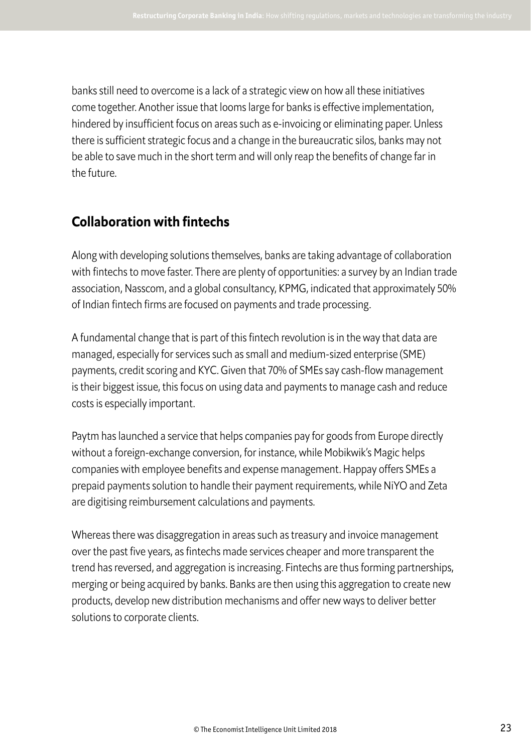banks still need to overcome is a lack of a strategic view on how all these initiatives come together. Another issue that looms large for banks is efective implementation, hindered by insufficient focus on areas such as e-invoicing or eliminating paper. Unless there is sufficient strategic focus and a change in the bureaucratic silos, banks may not be able to save much in the short term and will only reap the benefits of change far in the future.

### **Collaboration with fintechs**

Along with developing solutions themselves, banks are taking advantage of collaboration with fintechs to move faster. There are plenty of opportunities: a survey by an Indian trade association, Nasscom, and a global consultancy, KPMG, indicated that approximately 50% of Indian fintech firms are focused on payments and trade processing.

A fundamental change that is part of this fintech revolution is in the way that data are managed, especially for services such as small and medium-sized enterprise (SME) payments, credit scoring and KYC. Given that 70% of SMEs say cash-flow management is their biggest issue, this focus on using data and payments to manage cash and reduce costs is especially important.

Paytm has launched a service that helps companies pay for goods from Europe directly without a foreign-exchange conversion, for instance, while Mobikwik's Magic helps companies with employee benefits and expense management. Happay offers SMEs a prepaid payments solution to handle their payment requirements, while NiYO and Zeta are digitising reimbursement calculations and payments.

Whereas there was disaggregation in areas such as treasury and invoice management over the past five years, as fintechs made services cheaper and more transparent the trend has reversed, and aggregation is increasing. Fintechs are thus forming partnerships, merging or being acquired by banks. Banks are then using this aggregation to create new products, develop new distribution mechanisms and offer new ways to deliver better solutions to corporate clients.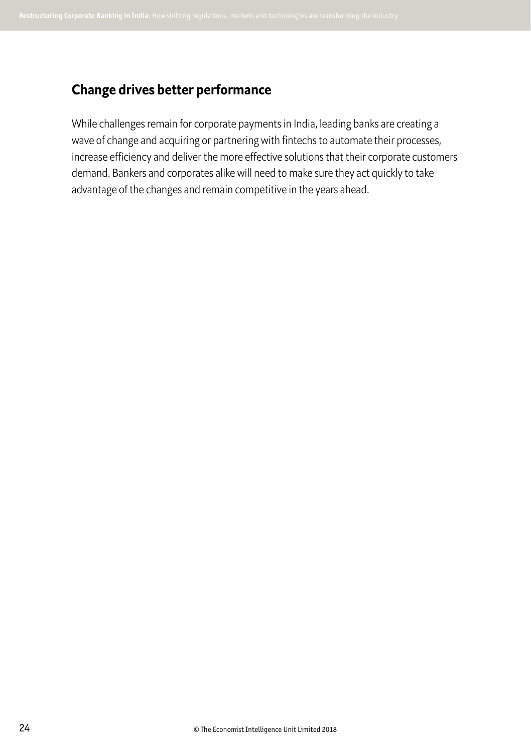### **Change drives better performance**

While challenges remain for corporate payments in India, leading banks are creating a wave of change and acquiring or partnering with fintechs to automate their processes, increase efficiency and deliver the more effective solutions that their corporate customers demand. Bankers and corporates alike will need to make sure they act quickly to take advantage of the changes and remain competitive in the years ahead.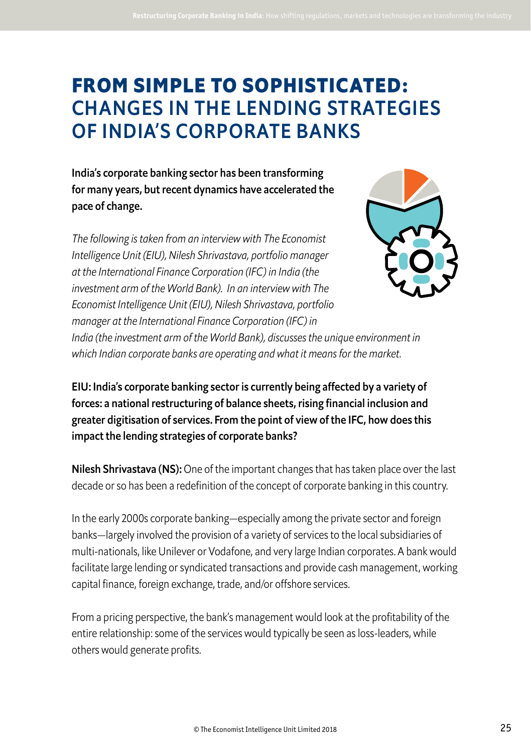## **FROM SIMPLE TO SOPHISTICATED:**  CHANGES IN THE LENDING STRATEGIES OF INDIA'S CORPORATE BANKS

India's corporate banking sector has been transforming for many years, but recent dynamics have accelerated the pace of change.

*The following is taken from an interview with The Economist Intelligence Unit (EIU), Nilesh Shrivastava, portfolio manager at the International Finance Corporation (IFC) in India (the investment arm of the World Bank). In an interview with The Economist Intelligence Unit (EIU), Nilesh Shrivastava, portfolio manager at the International Finance Corporation (IFC) in* 



*India (the investment arm of the World Bank), discusses the unique environment in which Indian corporate banks are operating and what it means for the market.*

EIU: India's corporate banking sector is currently being afected by a variety of forces: a national restructuring of balance sheets, rising financial inclusion and greater digitisation of services. From the point of view of the IFC, how does this impact the lending strategies of corporate banks?

**Nilesh Shrivastava (NS):** One of the important changes that has taken place over the last decade or so has been a redefinition of the concept of corporate banking in this country.

In the early 2000s corporate banking—especially among the private sector and foreign banks—largely involved the provision of a variety of services to the local subsidiaries of multi-nationals, like Unilever or Vodafone, and very large Indian corporates. A bank would facilitate large lending or syndicated transactions and provide cash management, working capital finance, foreign exchange, trade, and/or offshore services.

From a pricing perspective, the bank's management would look at the profitability of the entire relationship: some of the services would typically be seen as loss-leaders, while others would generate profits.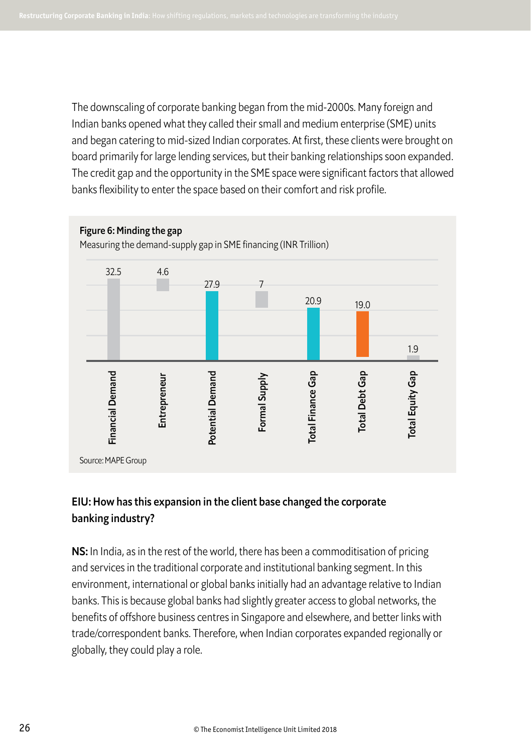The downscaling of corporate banking began from the mid-2000s. Many foreign and Indian banks opened what they called their small and medium enterprise (SME) units and began catering to mid-sized Indian corporates. At first, these clients were brought on board primarily for large lending services, but their banking relationships soon expanded. The credit gap and the opportunity in the SME space were significant factors that allowed banks flexibility to enter the space based on their comfort and risk profile.



### EIU: How has this expansion in the client base changed the corporate banking industry?

NS: In India, as in the rest of the world, there has been a commoditisation of pricing and services in the traditional corporate and institutional banking segment. In this environment, international or global banks initially had an advantage relative to Indian banks. This is because global banks had slightly greater access to global networks, the benefits of ofshore business centres in Singapore and elsewhere, and better links with trade/correspondent banks. Therefore, when Indian corporates expanded regionally or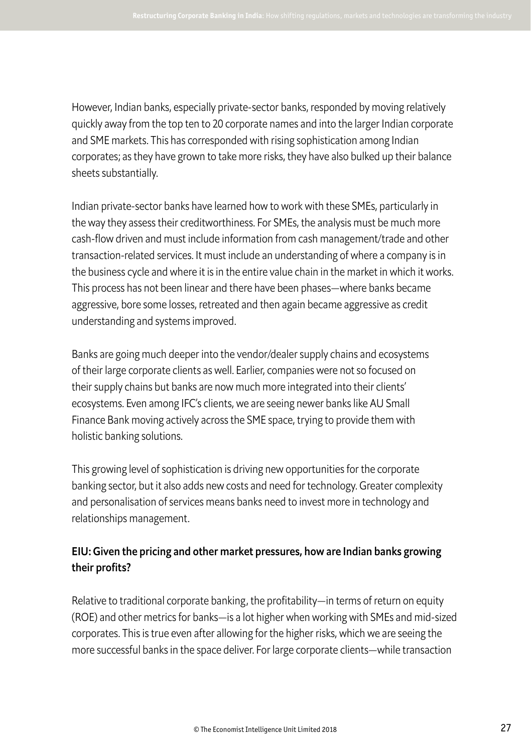However, Indian banks, especially private-sector banks, responded by moving relatively quickly away from the top ten to 20 corporate names and into the larger Indian corporate and SME markets. This has corresponded with rising sophistication among Indian corporates; as they have grown to take more risks, they have also bulked up their balance sheets substantially.

Indian private-sector banks have learned how to work with these SMEs, particularly in the way they assess their creditworthiness. For SMEs, the analysis must be much more cash-flow driven and must include information from cash management/trade and other transaction-related services. It must include an understanding of where a company is in the business cycle and where it is in the entire value chain in the market in which it works. This process has not been linear and there have been phases—where banks became aggressive, bore some losses, retreated and then again became aggressive as credit understanding and systems improved.

Banks are going much deeper into the vendor/dealer supply chains and ecosystems of their large corporate clients as well. Earlier, companies were not so focused on their supply chains but banks are now much more integrated into their clients' ecosystems. Even among IFC's clients, we are seeing newer banks like AU Small Finance Bank moving actively across the SME space, trying to provide them with holistic banking solutions.

This growing level of sophistication is driving new opportunities for the corporate banking sector, but it also adds new costs and need for technology. Greater complexity and personalisation of services means banks need to invest more in technology and relationships management.

### EIU: Given the pricing and other market pressures, how are Indian banks growing their profits?

Relative to traditional corporate banking, the profitability—in terms of return on equity (ROE) and other metrics for banks—is a lot higher when working with SMEs and mid-sized corporates. This is true even after allowing for the higher risks, which we are seeing the more successful banks in the space deliver. For large corporate clients—while transaction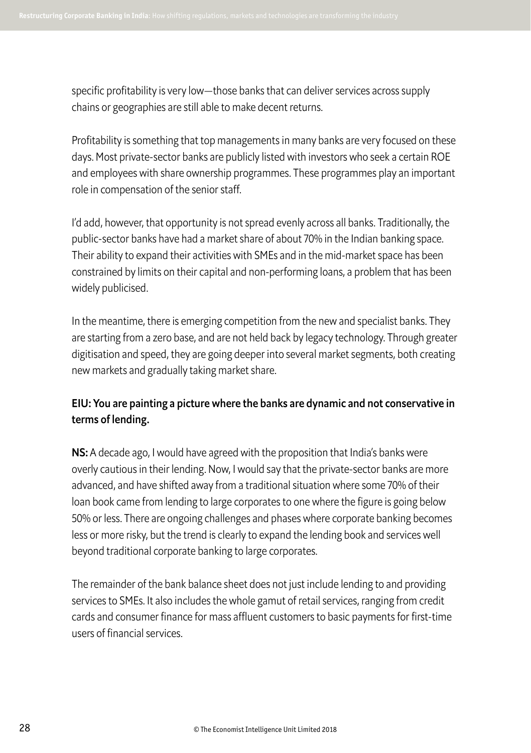specific profitability is very low—those banks that can deliver services across supply chains or geographies are still able to make decent returns.

Profitability is something that top managements in many banks are very focused on these days. Most private-sector banks are publicly listed with investors who seek a certain ROE and employees with share ownership programmes. These programmes play an important role in compensation of the senior staf.

I'd add, however, that opportunity is not spread evenly across all banks. Traditionally, the public-sector banks have had a market share of about 70% in the Indian banking space. Their ability to expand their activities with SMEs and in the mid-market space has been constrained by limits on their capital and non-performing loans, a problem that has been widely publicised.

In the meantime, there is emerging competition from the new and specialist banks. They are starting from a zero base, and are not held back by legacy technology. Through greater digitisation and speed, they are going deeper into several market segments, both creating new markets and gradually taking market share.

### EIU: You are painting a picture where the banks are dynamic and not conservative in terms of lending.

NS: A decade ago, I would have agreed with the proposition that India's banks were overly cautious in their lending. Now, I would say that the private-sector banks are more advanced, and have shifted away from a traditional situation where some 70% of their loan book came from lending to large corporates to one where the figure is going below 50% or less. There are ongoing challenges and phases where corporate banking becomes less or more risky, but the trend is clearly to expand the lending book and services well beyond traditional corporate banking to large corporates.

The remainder of the bank balance sheet does not just include lending to and providing services to SMEs. It also includes the whole gamut of retail services, ranging from credit cards and consumer finance for mass affluent customers to basic payments for first-time users of financial services.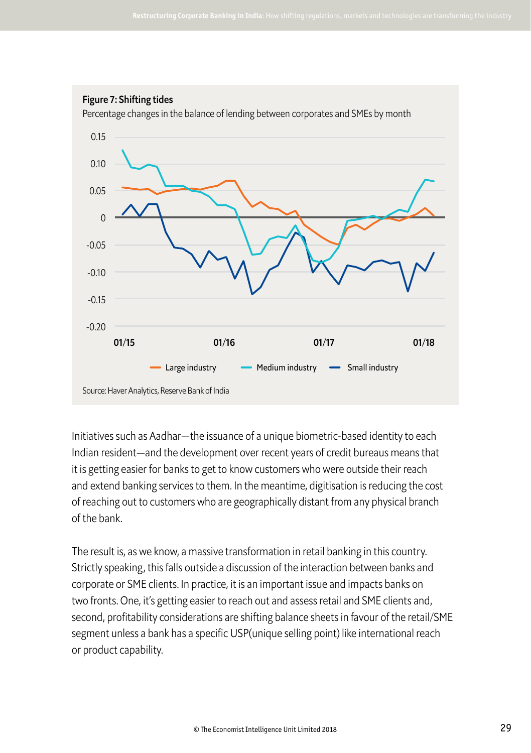

#### Figure 7: Shifting tides

Percentage changes in the balance of lending between corporates and SMEs by month

Initiatives such as Aadhar—the issuance of a unique biometric-based identity to each Indian resident—and the development over recent years of credit bureaus means that it is getting easier for banks to get to know customers who were outside their reach and extend banking services to them. In the meantime, digitisation is reducing the cost of reaching out to customers who are geographically distant from any physical branch of the bank.

The result is, as we know, a massive transformation in retail banking in this country. Strictly speaking, this falls outside a discussion of the interaction between banks and corporate or SME clients. In practice, it is an important issue and impacts banks on two fronts. One, it's getting easier to reach out and assess retail and SME clients and, second, profitability considerations are shifting balance sheets in favour of the retail/SME segment unless a bank has a specific USP(unique selling point) like international reach or product capability.

Source: Haver Analytics, Reserve Bank of India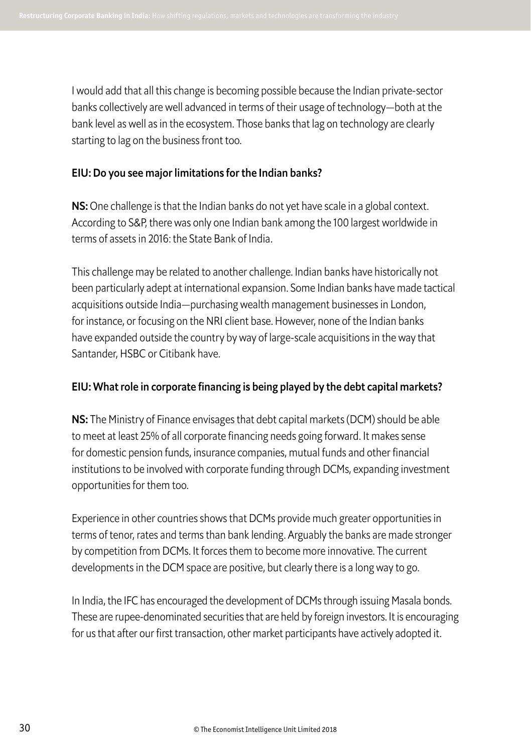I would add that all this change is becoming possible because the Indian private-sector banks collectively are well advanced in terms of their usage of technology—both at the bank level as well as in the ecosystem. Those banks that lag on technology are clearly starting to lag on the business front too.

#### EIU: Do you see major limitations for the Indian banks?

NS: One challenge is that the Indian banks do not yet have scale in a global context. According to S&P, there was only one Indian bank among the 100 largest worldwide in terms of assets in 2016: the State Bank of India.

This challenge may be related to another challenge. Indian banks have historically not been particularly adept at international expansion. Some Indian banks have made tactical acquisitions outside India—purchasing wealth management businesses in London, for instance, or focusing on the NRI client base. However, none of the Indian banks have expanded outside the country by way of large-scale acquisitions in the way that Santander, HSBC or Citibank have.

### EIU: What role in corporate financing is being played by the debt capital markets?

NS: The Ministry of Finance envisages that debt capital markets (DCM) should be able to meet at least 25% of all corporate financing needs going forward. It makes sense for domestic pension funds, insurance companies, mutual funds and other financial institutions to be involved with corporate funding through DCMs, expanding investment opportunities for them too.

Experience in other countries shows that DCMs provide much greater opportunities in terms of tenor, rates and terms than bank lending. Arguably the banks are made stronger by competition from DCMs. It forces them to become more innovative. The current developments in the DCM space are positive, but clearly there is a long way to go.

In India, the IFC has encouraged the development of DCMs through issuing Masala bonds. These are rupee-denominated securities that are held by foreign investors. It is encouraging for us that after our first transaction, other market participants have actively adopted it.